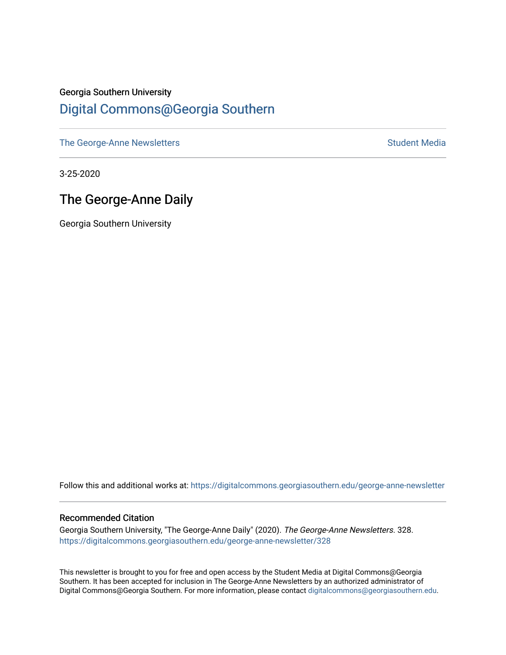#### Georgia Southern University [Digital Commons@Georgia Southern](https://digitalcommons.georgiasouthern.edu/)

[The George-Anne Newsletters](https://digitalcommons.georgiasouthern.edu/george-anne-newsletter) **Student Media** Student Media

3-25-2020

### The George-Anne Daily

Georgia Southern University

Follow this and additional works at: [https://digitalcommons.georgiasouthern.edu/george-anne-newsletter](https://digitalcommons.georgiasouthern.edu/george-anne-newsletter?utm_source=digitalcommons.georgiasouthern.edu%2Fgeorge-anne-newsletter%2F328&utm_medium=PDF&utm_campaign=PDFCoverPages)

#### Recommended Citation

Georgia Southern University, "The George-Anne Daily" (2020). The George-Anne Newsletters. 328. [https://digitalcommons.georgiasouthern.edu/george-anne-newsletter/328](https://digitalcommons.georgiasouthern.edu/george-anne-newsletter/328?utm_source=digitalcommons.georgiasouthern.edu%2Fgeorge-anne-newsletter%2F328&utm_medium=PDF&utm_campaign=PDFCoverPages) 

This newsletter is brought to you for free and open access by the Student Media at Digital Commons@Georgia Southern. It has been accepted for inclusion in The George-Anne Newsletters by an authorized administrator of Digital Commons@Georgia Southern. For more information, please contact [digitalcommons@georgiasouthern.edu.](mailto:digitalcommons@georgiasouthern.edu)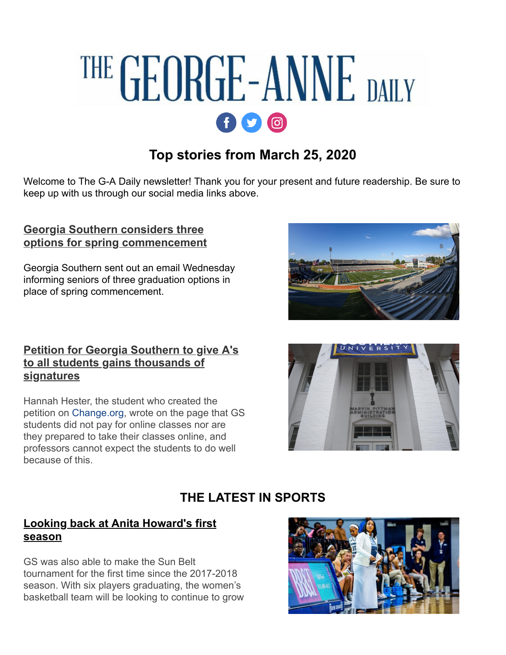# THE GEORGE-ANNE DAILY  $f$  $q$  $q$  $q$

# **Top stories from March 25, 2020**

Welcome to The G-A Daily newsletter! Thank you for your present and future readership. Be sure to keep up with us through our social media links above.

#### **Georgia Southern considers three [options for spring commencement](http://r20.rs6.net/tn.jsp?f=001MA6dtoGkewMerWn51z_wtxl3h7hfkYRX6IkHu5yzQcp562HzoB-UaN5lKnZL2zxr7g4zDHilz6mtENJpIcKO1PkA16wtAknqNLtbYTYyuvNFwv_TkIaSwmpCahZ3O_n9uLp8B1JE7krM49zye1FpQg2kCMPdL0p8PreEDsQmkH8b1TVV7h2GjDO-ukNMKclkvlUvkWKU83u8SyRYPWvXQFq1eWZaN-BF&c=ODNLlREkYqYiCx-VtHEilpvbUh1yC0nSAbUksfVpSQ8P0A8uAhvACQ==&ch=0FNZZfn2BlWHSN0dEBf47cjAP-EV2unJYNBsBhLd3E0RDiUYTJ_1lA==)**

Georgia Southern sent out an email Wednesday informing seniors of three graduation options in place of spring commencement.

#### **[Petition for Georgia Southern to give A's](http://r20.rs6.net/tn.jsp?f=001MA6dtoGkewMerWn51z_wtxl3h7hfkYRX6IkHu5yzQcp562HzoB-UaN5lKnZL2zxrSZPn7gDIeusazDYW_1IvtIKntNneXJwnaeRlVpelMAlzXJh7VMrvi3KycfMBz-YtIxBkGY-LUaa2nipBGoz8UUr-TqwOZKbn-roWXf5ggUIC0vcgRyrroEIVqlYSWIWAqixdvzcF-6qbJcmEWh8LOEOz83RGQwar&c=ODNLlREkYqYiCx-VtHEilpvbUh1yC0nSAbUksfVpSQ8P0A8uAhvACQ==&ch=0FNZZfn2BlWHSN0dEBf47cjAP-EV2unJYNBsBhLd3E0RDiUYTJ_1lA==) to all students gains thousands of signatures**

Hannah Hester, the student who created the petition on [Change.org,](http://r20.rs6.net/tn.jsp?f=001MA6dtoGkewMerWn51z_wtxl3h7hfkYRX6IkHu5yzQcp562HzoB-UaN5lKnZL2zxrYNctEQ_65GpNg48-07OiVgiTscfr4t40awaL-WrsDFuw9Y2Er-Ohx_SXZ1MTmd1fOGISUWsbae4=&c=ODNLlREkYqYiCx-VtHEilpvbUh1yC0nSAbUksfVpSQ8P0A8uAhvACQ==&ch=0FNZZfn2BlWHSN0dEBf47cjAP-EV2unJYNBsBhLd3E0RDiUYTJ_1lA==) wrote on the page that GS students did not pay for online classes nor are they prepared to take their classes online, and professors cannot expect the students to do well because of this.





## **THE LATEST IN SPORTS**

#### **[Looking back at Anita Howard's first](http://r20.rs6.net/tn.jsp?f=001MA6dtoGkewMerWn51z_wtxl3h7hfkYRX6IkHu5yzQcp562HzoB-UaN5lKnZL2zxrY8kCWaKwe7bitMXZ-b-ZTAkTN7STQPHQdWve_u5DowjiK6p0E5_hq5HdmvCWdgMnSK6OQEynET9CSt9c7DsbfsPdiq9gl0FMqqN3CQdfw-p8sDsNpcjbyi4_pWn_5dPk0NJ1UCIXJ_jIh-tUd-uBWGXiBhLhKqywMMgzC6Vqgo0=&c=ODNLlREkYqYiCx-VtHEilpvbUh1yC0nSAbUksfVpSQ8P0A8uAhvACQ==&ch=0FNZZfn2BlWHSN0dEBf47cjAP-EV2unJYNBsBhLd3E0RDiUYTJ_1lA==) season**

GS was also able to make the Sun Belt tournament for the first time since the 2017-2018 season. With six players graduating, the women's basketball team will be looking to continue to grow

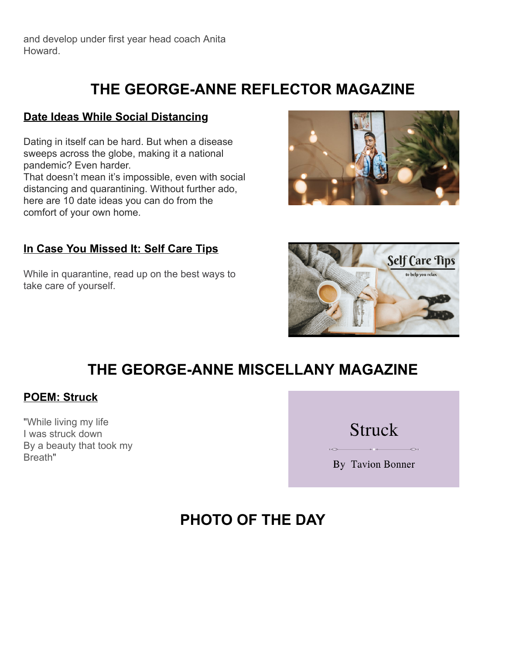and develop under first year head coach Anita Howard.

# **THE GEORGE-ANNE REFLECTOR MAGAZINE**

#### **[Date Ideas While Social Distancing](http://r20.rs6.net/tn.jsp?f=001MA6dtoGkewMerWn51z_wtxl3h7hfkYRX6IkHu5yzQcp562HzoB-UaN5lKnZL2zxrq12zNwQCriLY1DuDZE6DRPz9uHAQaDgeEFY9BPBEzaSAMjV9xd4kp01LrYMwCcuIxtxnlt3oQJdGi2_OJDheKm7A3eBj6BpSWnrH4JoUo70rcgRWv98T6x4_LY3xAMCq&c=ODNLlREkYqYiCx-VtHEilpvbUh1yC0nSAbUksfVpSQ8P0A8uAhvACQ==&ch=0FNZZfn2BlWHSN0dEBf47cjAP-EV2unJYNBsBhLd3E0RDiUYTJ_1lA==)**

Dating in itself can be hard. But when a disease sweeps across the globe, making it a national pandemic? Even harder.

That doesn't mean it's impossible, even with social distancing and quarantining. Without further ado, here are 10 date ideas you can do from the comfort of your own home.

#### **[In Case You Missed It: Self Care Tips](http://r20.rs6.net/tn.jsp?f=001MA6dtoGkewMerWn51z_wtxl3h7hfkYRX6IkHu5yzQcp562HzoB-UaN5lKnZL2zxrN5lLCNn-8K6JfXIHRa7W1Hrvx_XemvVIoTm6RjRDbbRqk4C5mMt2FXBZQvuKSIZhFSMXcTn5gGWjE6bG4vKNZX1Ja_w-fqA2ycv-3iOoKlM=&c=ODNLlREkYqYiCx-VtHEilpvbUh1yC0nSAbUksfVpSQ8P0A8uAhvACQ==&ch=0FNZZfn2BlWHSN0dEBf47cjAP-EV2unJYNBsBhLd3E0RDiUYTJ_1lA==)**

While in quarantine, read up on the best ways to take care of yourself.



# **THE GEORGE-ANNE MISCELLANY MAGAZINE**

#### **[POEM: Struck](http://r20.rs6.net/tn.jsp?f=001MA6dtoGkewMerWn51z_wtxl3h7hfkYRX6IkHu5yzQcp562HzoB-UaNSsqrBN5RruPPHRLRZo9u4Rv2A4uysc4fwDBN0Nh-6AyV72xzPp1c4RQ7CVtC33tRlkN-fj1D355-h13snILGfaBeaqdp4JWq9_fl35TrwsHLU7EECumfs=&c=ODNLlREkYqYiCx-VtHEilpvbUh1yC0nSAbUksfVpSQ8P0A8uAhvACQ==&ch=0FNZZfn2BlWHSN0dEBf47cjAP-EV2unJYNBsBhLd3E0RDiUYTJ_1lA==)**

"While living my life I was struck down By a beauty that took my Breath"



# **PHOTO OF THE DAY**